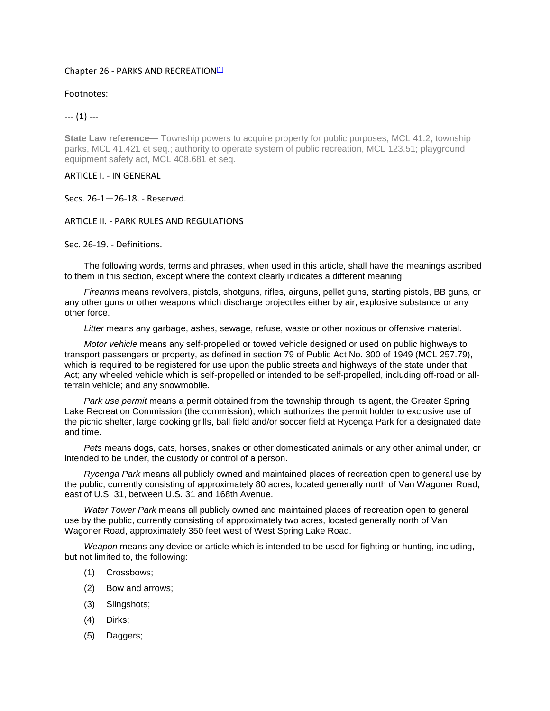## Chapter 26 - PARKS AND RECREATION<sup>[1]</sup>

Footnotes:

--- (**1**) ---

**State Law reference—** Township powers to acquire property for public purposes, MCL 41.2; township parks, MCL 41.421 et seq.; authority to operate system of public recreation, MCL 123.51; playground equipment safety act, MCL 408.681 et seq.

ARTICLE I. - IN GENERAL

Secs. 26-1—26-18. - Reserved.

## ARTICLE II. - PARK RULES AND REGULATIONS

Sec. 26-19. - Definitions.

The following words, terms and phrases, when used in this article, shall have the meanings ascribed to them in this section, except where the context clearly indicates a different meaning:

*Firearms* means revolvers, pistols, shotguns, rifles, airguns, pellet guns, starting pistols, BB guns, or any other guns or other weapons which discharge projectiles either by air, explosive substance or any other force.

*Litter* means any garbage, ashes, sewage, refuse, waste or other noxious or offensive material.

*Motor vehicle* means any self-propelled or towed vehicle designed or used on public highways to transport passengers or property, as defined in section 79 of Public Act No. 300 of 1949 (MCL 257.79), which is required to be registered for use upon the public streets and highways of the state under that Act; any wheeled vehicle which is self-propelled or intended to be self-propelled, including off-road or allterrain vehicle; and any snowmobile.

*Park use permit* means a permit obtained from the township through its agent, the Greater Spring Lake Recreation Commission (the commission), which authorizes the permit holder to exclusive use of the picnic shelter, large cooking grills, ball field and/or soccer field at Rycenga Park for a designated date and time.

*Pets* means dogs, cats, horses, snakes or other domesticated animals or any other animal under, or intended to be under, the custody or control of a person.

*Rycenga Park* means all publicly owned and maintained places of recreation open to general use by the public, currently consisting of approximately 80 acres, located generally north of Van Wagoner Road, east of U.S. 31, between U.S. 31 and 168th Avenue.

*Water Tower Park* means all publicly owned and maintained places of recreation open to general use by the public, currently consisting of approximately two acres, located generally north of Van Wagoner Road, approximately 350 feet west of West Spring Lake Road.

*Weapon* means any device or article which is intended to be used for fighting or hunting, including, but not limited to, the following:

- (1) Crossbows;
- (2) Bow and arrows;
- (3) Slingshots;
- (4) Dirks;
- (5) Daggers;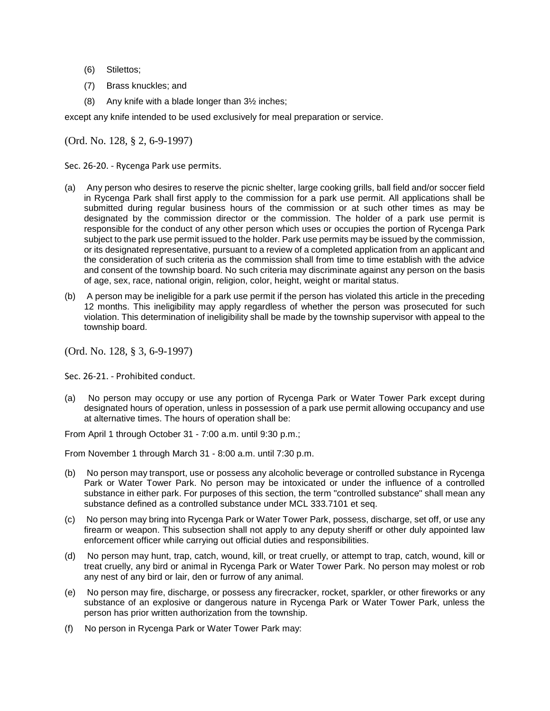- (6) Stilettos;
- (7) Brass knuckles; and
- (8) Any knife with a blade longer than 3½ inches;

except any knife intended to be used exclusively for meal preparation or service.

(Ord. No. 128, § 2, 6-9-1997)

Sec. 26-20. - Rycenga Park use permits.

- (a) Any person who desires to reserve the picnic shelter, large cooking grills, ball field and/or soccer field in Rycenga Park shall first apply to the commission for a park use permit. All applications shall be submitted during regular business hours of the commission or at such other times as may be designated by the commission director or the commission. The holder of a park use permit is responsible for the conduct of any other person which uses or occupies the portion of Rycenga Park subject to the park use permit issued to the holder. Park use permits may be issued by the commission, or its designated representative, pursuant to a review of a completed application from an applicant and the consideration of such criteria as the commission shall from time to time establish with the advice and consent of the township board. No such criteria may discriminate against any person on the basis of age, sex, race, national origin, religion, color, height, weight or marital status.
- (b) A person may be ineligible for a park use permit if the person has violated this article in the preceding 12 months. This ineligibility may apply regardless of whether the person was prosecuted for such violation. This determination of ineligibility shall be made by the township supervisor with appeal to the township board.

(Ord. No. 128, § 3, 6-9-1997)

Sec. 26-21. - Prohibited conduct.

(a) No person may occupy or use any portion of Rycenga Park or Water Tower Park except during designated hours of operation, unless in possession of a park use permit allowing occupancy and use at alternative times. The hours of operation shall be:

From April 1 through October 31 - 7:00 a.m. until 9:30 p.m.;

From November 1 through March 31 - 8:00 a.m. until 7:30 p.m.

- (b) No person may transport, use or possess any alcoholic beverage or controlled substance in Rycenga Park or Water Tower Park. No person may be intoxicated or under the influence of a controlled substance in either park. For purposes of this section, the term "controlled substance" shall mean any substance defined as a controlled substance under MCL 333.7101 et seq.
- (c) No person may bring into Rycenga Park or Water Tower Park, possess, discharge, set off, or use any firearm or weapon. This subsection shall not apply to any deputy sheriff or other duly appointed law enforcement officer while carrying out official duties and responsibilities.
- (d) No person may hunt, trap, catch, wound, kill, or treat cruelly, or attempt to trap, catch, wound, kill or treat cruelly, any bird or animal in Rycenga Park or Water Tower Park. No person may molest or rob any nest of any bird or lair, den or furrow of any animal.
- (e) No person may fire, discharge, or possess any firecracker, rocket, sparkler, or other fireworks or any substance of an explosive or dangerous nature in Rycenga Park or Water Tower Park, unless the person has prior written authorization from the township.
- (f) No person in Rycenga Park or Water Tower Park may: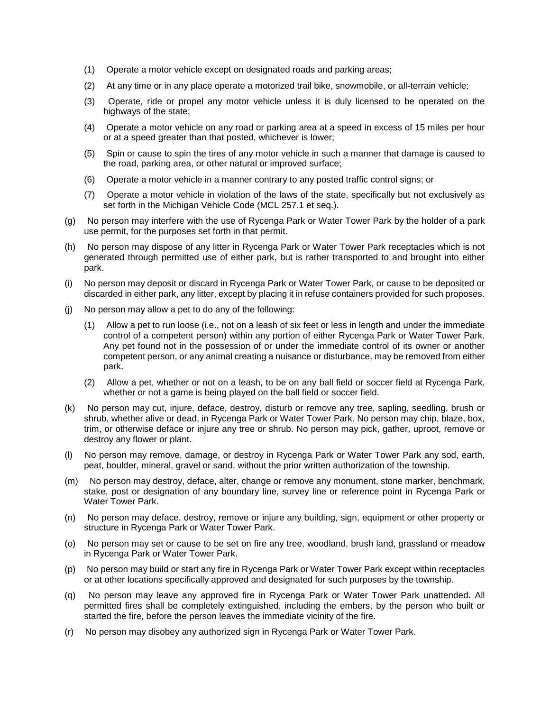- (1) Operate a motor vehicle except on designated roads and parking areas;
- (2) At any time or in any place operate a motorized trail bike, snowmobile, or all-terrain vehicle;
- (3) Operate, ride or propel any motor vehicle unless it is duly licensed to be operated on the highways of the state;
- (4) Operate a motor vehicle on any road or parking area at a speed in excess of 15 miles per hour or at a speed greater than that posted, whichever is lower;
- (5) Spin or cause to spin the tires of any motor vehicle in such a manner that damage is caused to the road, parking area, or other natural or improved surface;
- (6) Operate a motor vehicle in a manner contrary to any posted traffic control signs; or
- (7) Operate a motor vehicle in violation of the laws of the state, specifically but not exclusively as set forth in the Michigan Vehicle Code (MCL 257.1 et seq.).
- (g) No person may interfere with the use of Rycenga Park or Water Tower Park by the holder of a park use permit, for the purposes set forth in that permit.
- (h) No person may dispose of any litter in Rycenga Park or Water Tower Park receptacles which is not generated through permitted use of either park, but is rather transported to and brought into either park.
- (i) No person may deposit or discard in Rycenga Park or Water Tower Park, or cause to be deposited or discarded in either park, any litter, except by placing it in refuse containers provided for such proposes.
- (j) No person may allow a pet to do any of the following:
	- (1) Allow a pet to run loose (i.e., not on a leash of six feet or less in length and under the immediate control of a competent person) within any portion of either Rycenga Park or Water Tower Park. Any pet found not in the possession of or under the immediate control of its owner or another competent person, or any animal creating a nuisance or disturbance, may be removed from either park.
	- (2) Allow a pet, whether or not on a leash, to be on any ball field or soccer field at Rycenga Park, whether or not a game is being played on the ball field or soccer field.
- (k) No person may cut, injure, deface, destroy, disturb or remove any tree, sapling, seedling, brush or shrub, whether alive or dead, in Rycenga Park or Water Tower Park. No person may chip, blaze, box, trim, or otherwise deface or injure any tree or shrub. No person may pick, gather, uproot, remove or destroy any flower or plant.
- (l) No person may remove, damage, or destroy in Rycenga Park or Water Tower Park any sod, earth, peat, boulder, mineral, gravel or sand, without the prior written authorization of the township.
- (m) No person may destroy, deface, alter, change or remove any monument, stone marker, benchmark, stake, post or designation of any boundary line, survey line or reference point in Rycenga Park or Water Tower Park.
- (n) No person may deface, destroy, remove or injure any building, sign, equipment or other property or structure in Rycenga Park or Water Tower Park.
- (o) No person may set or cause to be set on fire any tree, woodland, brush land, grassland or meadow in Rycenga Park or Water Tower Park.
- (p) No person may build or start any fire in Rycenga Park or Water Tower Park except within receptacles or at other locations specifically approved and designated for such purposes by the township.
- (q) No person may leave any approved fire in Rycenga Park or Water Tower Park unattended. All permitted fires shall be completely extinguished, including the embers, by the person who built or started the fire, before the person leaves the immediate vicinity of the fire.
- (r) No person may disobey any authorized sign in Rycenga Park or Water Tower Park.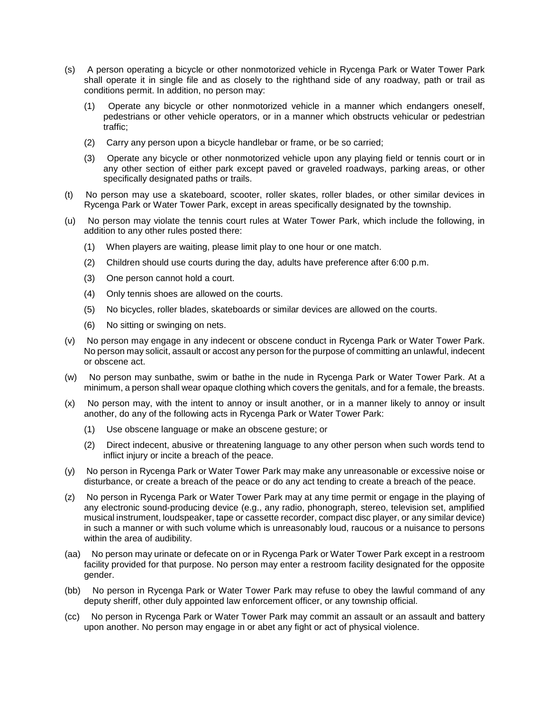- (s) A person operating a bicycle or other nonmotorized vehicle in Rycenga Park or Water Tower Park shall operate it in single file and as closely to the righthand side of any roadway, path or trail as conditions permit. In addition, no person may:
	- (1) Operate any bicycle or other nonmotorized vehicle in a manner which endangers oneself, pedestrians or other vehicle operators, or in a manner which obstructs vehicular or pedestrian traffic;
	- (2) Carry any person upon a bicycle handlebar or frame, or be so carried;
	- (3) Operate any bicycle or other nonmotorized vehicle upon any playing field or tennis court or in any other section of either park except paved or graveled roadways, parking areas, or other specifically designated paths or trails.
- (t) No person may use a skateboard, scooter, roller skates, roller blades, or other similar devices in Rycenga Park or Water Tower Park, except in areas specifically designated by the township.
- (u) No person may violate the tennis court rules at Water Tower Park, which include the following, in addition to any other rules posted there:
	- (1) When players are waiting, please limit play to one hour or one match.
	- (2) Children should use courts during the day, adults have preference after 6:00 p.m.
	- (3) One person cannot hold a court.
	- (4) Only tennis shoes are allowed on the courts.
	- (5) No bicycles, roller blades, skateboards or similar devices are allowed on the courts.
	- (6) No sitting or swinging on nets.
- (v) No person may engage in any indecent or obscene conduct in Rycenga Park or Water Tower Park. No person may solicit, assault or accost any person for the purpose of committing an unlawful, indecent or obscene act.
- (w) No person may sunbathe, swim or bathe in the nude in Rycenga Park or Water Tower Park. At a minimum, a person shall wear opaque clothing which covers the genitals, and for a female, the breasts.
- (x) No person may, with the intent to annoy or insult another, or in a manner likely to annoy or insult another, do any of the following acts in Rycenga Park or Water Tower Park:
	- (1) Use obscene language or make an obscene gesture; or
	- (2) Direct indecent, abusive or threatening language to any other person when such words tend to inflict injury or incite a breach of the peace.
- (y) No person in Rycenga Park or Water Tower Park may make any unreasonable or excessive noise or disturbance, or create a breach of the peace or do any act tending to create a breach of the peace.
- (z) No person in Rycenga Park or Water Tower Park may at any time permit or engage in the playing of any electronic sound-producing device (e.g., any radio, phonograph, stereo, television set, amplified musical instrument, loudspeaker, tape or cassette recorder, compact disc player, or any similar device) in such a manner or with such volume which is unreasonably loud, raucous or a nuisance to persons within the area of audibility.
- (aa) No person may urinate or defecate on or in Rycenga Park or Water Tower Park except in a restroom facility provided for that purpose. No person may enter a restroom facility designated for the opposite gender.
- (bb) No person in Rycenga Park or Water Tower Park may refuse to obey the lawful command of any deputy sheriff, other duly appointed law enforcement officer, or any township official.
- (cc) No person in Rycenga Park or Water Tower Park may commit an assault or an assault and battery upon another. No person may engage in or abet any fight or act of physical violence.